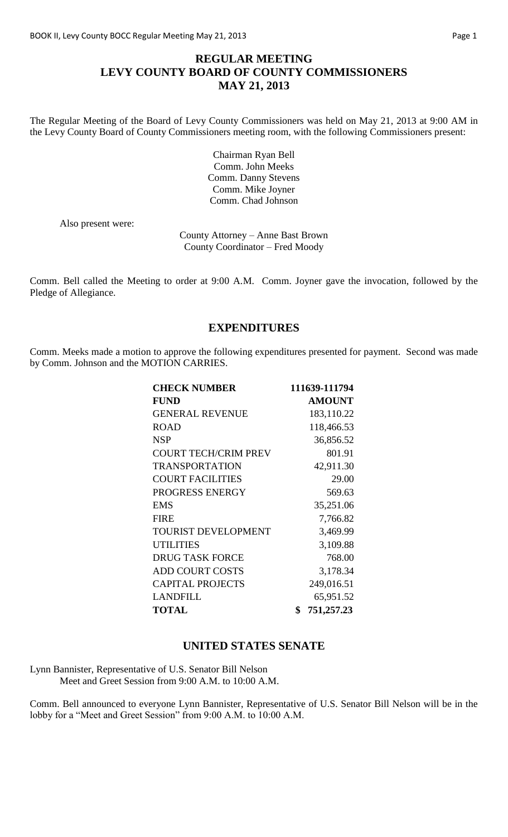# **REGULAR MEETING LEVY COUNTY BOARD OF COUNTY COMMISSIONERS MAY 21, 2013**

The Regular Meeting of the Board of Levy County Commissioners was held on May 21, 2013 at 9:00 AM in the Levy County Board of County Commissioners meeting room, with the following Commissioners present:

> Chairman Ryan Bell Comm. John Meeks Comm. Danny Stevens Comm. Mike Joyner Comm. Chad Johnson

Also present were:

County Attorney – Anne Bast Brown County Coordinator – Fred Moody

Comm. Bell called the Meeting to order at 9:00 A.M. Comm. Joyner gave the invocation, followed by the Pledge of Allegiance.

### **EXPENDITURES**

Comm. Meeks made a motion to approve the following expenditures presented for payment. Second was made by Comm. Johnson and the MOTION CARRIES.

| <b>CHECK NUMBER</b>         | 111639-111794    |
|-----------------------------|------------------|
| <b>FUND</b>                 | <b>AMOUNT</b>    |
| <b>GENERAL REVENUE</b>      | 183,110.22       |
| <b>ROAD</b>                 | 118,466.53       |
| <b>NSP</b>                  | 36,856.52        |
| <b>COURT TECH/CRIM PREV</b> | 801.91           |
| <b>TRANSPORTATION</b>       | 42,911.30        |
| <b>COURT FACILITIES</b>     | 29.00            |
| PROGRESS ENERGY             | 569.63           |
| <b>EMS</b>                  | 35,251.06        |
| <b>FIRE</b>                 | 7,766.82         |
| TOURIST DEVELOPMENT         | 3,469.99         |
| <b>UTILITIES</b>            | 3,109.88         |
| <b>DRUG TASK FORCE</b>      | 768.00           |
| <b>ADD COURT COSTS</b>      | 3,178.34         |
| <b>CAPITAL PROJECTS</b>     | 249,016.51       |
| <b>LANDFILL</b>             | 65,951.52        |
| <b>TOTAL</b>                | \$<br>751,257.23 |

#### **UNITED STATES SENATE**

Lynn Bannister, Representative of U.S. Senator Bill Nelson Meet and Greet Session from 9:00 A.M. to 10:00 A.M.

Comm. Bell announced to everyone Lynn Bannister, Representative of U.S. Senator Bill Nelson will be in the lobby for a "Meet and Greet Session" from 9:00 A.M. to 10:00 A.M.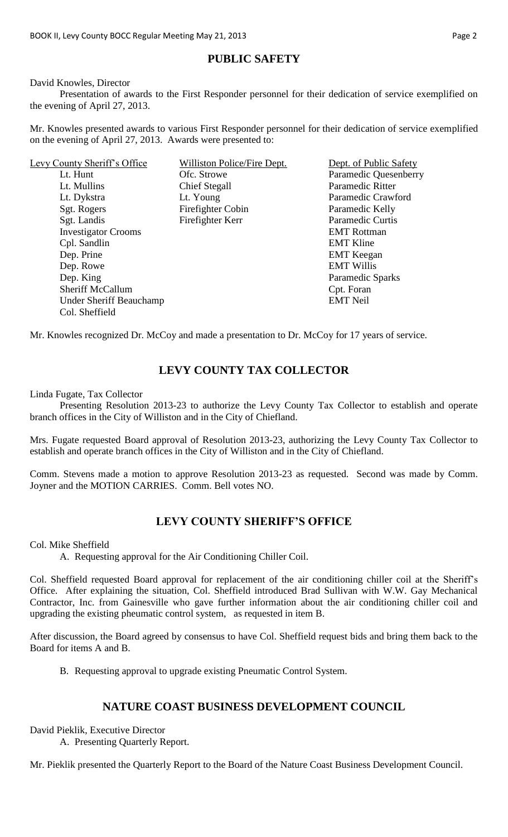## **PUBLIC SAFETY**

David Knowles, Director

Presentation of awards to the First Responder personnel for their dedication of service exemplified on the evening of April 27, 2013.

Mr. Knowles presented awards to various First Responder personnel for their dedication of service exemplified on the evening of April 27, 2013. Awards were presented to:

| Levy County Sheriff's Office   | Williston Police/Fire Dept. | Dept. of Public Safety  |
|--------------------------------|-----------------------------|-------------------------|
| Lt. Hunt                       | Ofc. Strowe                 | Paramedic Quesenberry   |
| Lt. Mullins                    | Chief Stegall               | Paramedic Ritter        |
| Lt. Dykstra                    | Lt. Young                   | Paramedic Crawford      |
| Sgt. Rogers                    | Firefighter Cobin           | Paramedic Kelly         |
| Sgt. Landis                    | Firefighter Kerr            | <b>Paramedic Curtis</b> |
| <b>Investigator Crooms</b>     |                             | <b>EMT</b> Rottman      |
| Cpl. Sandlin                   |                             | <b>EMT Kline</b>        |
| Dep. Prine                     |                             | <b>EMT</b> Keegan       |
| Dep. Rowe                      |                             | <b>EMT Willis</b>       |
| Dep. King                      |                             | Paramedic Sparks        |
| <b>Sheriff McCallum</b>        |                             | Cpt. Foran              |
| <b>Under Sheriff Beauchamp</b> |                             | <b>EMT Neil</b>         |
| Col. Sheffield                 |                             |                         |

Mr. Knowles recognized Dr. McCoy and made a presentation to Dr. McCoy for 17 years of service.

### **LEVY COUNTY TAX COLLECTOR**

Linda Fugate, Tax Collector

Presenting Resolution 2013-23 to authorize the Levy County Tax Collector to establish and operate branch offices in the City of Williston and in the City of Chiefland.

Mrs. Fugate requested Board approval of Resolution 2013-23, authorizing the Levy County Tax Collector to establish and operate branch offices in the City of Williston and in the City of Chiefland.

Comm. Stevens made a motion to approve Resolution 2013-23 as requested. Second was made by Comm. Joyner and the MOTION CARRIES. Comm. Bell votes NO.

# **LEVY COUNTY SHERIFF'S OFFICE**

Col. Mike Sheffield

A. Requesting approval for the Air Conditioning Chiller Coil.

Col. Sheffield requested Board approval for replacement of the air conditioning chiller coil at the Sheriff's Office. After explaining the situation, Col. Sheffield introduced Brad Sullivan with W.W. Gay Mechanical Contractor, Inc. from Gainesville who gave further information about the air conditioning chiller coil and upgrading the existing pheumatic control system, as requested in item B.

After discussion, the Board agreed by consensus to have Col. Sheffield request bids and bring them back to the Board for items A and B.

B. Requesting approval to upgrade existing Pneumatic Control System.

#### **NATURE COAST BUSINESS DEVELOPMENT COUNCIL**

David Pieklik, Executive Director

A. Presenting Quarterly Report.

Mr. Pieklik presented the Quarterly Report to the Board of the Nature Coast Business Development Council.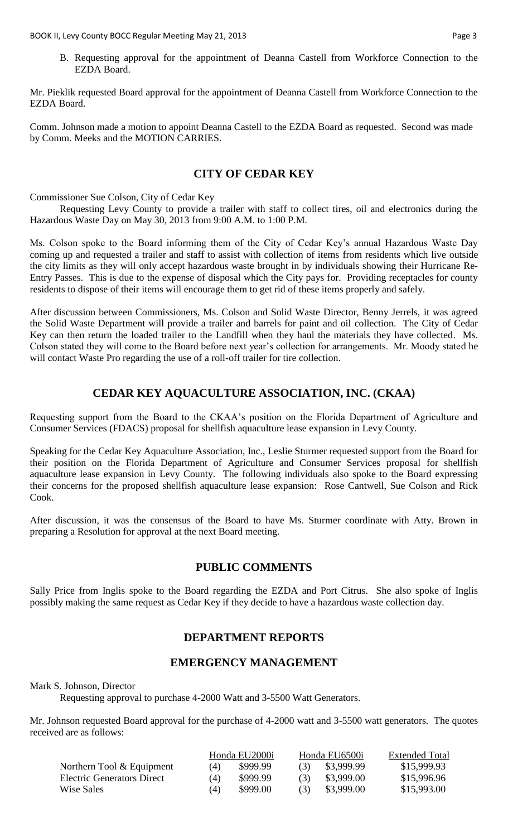B. Requesting approval for the appointment of Deanna Castell from Workforce Connection to the EZDA Board.

Mr. Pieklik requested Board approval for the appointment of Deanna Castell from Workforce Connection to the EZDA Board.

Comm. Johnson made a motion to appoint Deanna Castell to the EZDA Board as requested. Second was made by Comm. Meeks and the MOTION CARRIES.

### **CITY OF CEDAR KEY**

Commissioner Sue Colson, City of Cedar Key

Requesting Levy County to provide a trailer with staff to collect tires, oil and electronics during the Hazardous Waste Day on May 30, 2013 from 9:00 A.M. to 1:00 P.M.

Ms. Colson spoke to the Board informing them of the City of Cedar Key's annual Hazardous Waste Day coming up and requested a trailer and staff to assist with collection of items from residents which live outside the city limits as they will only accept hazardous waste brought in by individuals showing their Hurricane Re-Entry Passes. This is due to the expense of disposal which the City pays for. Providing receptacles for county residents to dispose of their items will encourage them to get rid of these items properly and safely.

After discussion between Commissioners, Ms. Colson and Solid Waste Director, Benny Jerrels, it was agreed the Solid Waste Department will provide a trailer and barrels for paint and oil collection. The City of Cedar Key can then return the loaded trailer to the Landfill when they haul the materials they have collected. Ms. Colson stated they will come to the Board before next year's collection for arrangements. Mr. Moody stated he will contact Waste Pro regarding the use of a roll-off trailer for tire collection.

# **CEDAR KEY AQUACULTURE ASSOCIATION, INC. (CKAA)**

Requesting support from the Board to the CKAA's position on the Florida Department of Agriculture and Consumer Services (FDACS) proposal for shellfish aquaculture lease expansion in Levy County.

Speaking for the Cedar Key Aquaculture Association, Inc., Leslie Sturmer requested support from the Board for their position on the Florida Department of Agriculture and Consumer Services proposal for shellfish aquaculture lease expansion in Levy County. The following individuals also spoke to the Board expressing their concerns for the proposed shellfish aquaculture lease expansion: Rose Cantwell, Sue Colson and Rick Cook.

After discussion, it was the consensus of the Board to have Ms. Sturmer coordinate with Atty. Brown in preparing a Resolution for approval at the next Board meeting.

#### **PUBLIC COMMENTS**

Sally Price from Inglis spoke to the Board regarding the EZDA and Port Citrus. She also spoke of Inglis possibly making the same request as Cedar Key if they decide to have a hazardous waste collection day.

### **DEPARTMENT REPORTS**

### **EMERGENCY MANAGEMENT**

Mark S. Johnson, Director

Requesting approval to purchase 4-2000 Watt and 3-5500 Watt Generators.

Mr. Johnson requested Board approval for the purchase of 4-2000 watt and 3-5500 watt generators. The quotes received are as follows:

|                            | Honda EU2000i |          | Honda EU6500i |            | <b>Extended Total</b> |  |
|----------------------------|---------------|----------|---------------|------------|-----------------------|--|
| Northern Tool & Equipment  | (4)           | \$999.99 | (3)           | \$3,999.99 | \$15,999.93           |  |
| Electric Generators Direct | (4)           | \$999.99 | (3)           | \$3,999.00 | \$15,996.96           |  |
| Wise Sales                 | (4)           | \$999.00 | (3)           | \$3,999.00 | \$15,993.00           |  |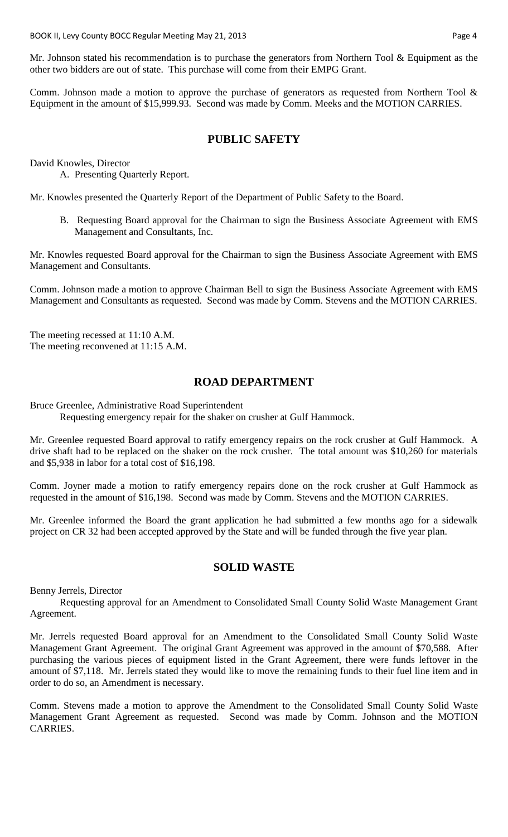Mr. Johnson stated his recommendation is to purchase the generators from Northern Tool & Equipment as the other two bidders are out of state. This purchase will come from their EMPG Grant.

Comm. Johnson made a motion to approve the purchase of generators as requested from Northern Tool & Equipment in the amount of \$15,999.93. Second was made by Comm. Meeks and the MOTION CARRIES.

### **PUBLIC SAFETY**

David Knowles, Director

A. Presenting Quarterly Report.

Mr. Knowles presented the Quarterly Report of the Department of Public Safety to the Board.

B. Requesting Board approval for the Chairman to sign the Business Associate Agreement with EMS Management and Consultants, Inc.

Mr. Knowles requested Board approval for the Chairman to sign the Business Associate Agreement with EMS Management and Consultants.

Comm. Johnson made a motion to approve Chairman Bell to sign the Business Associate Agreement with EMS Management and Consultants as requested. Second was made by Comm. Stevens and the MOTION CARRIES.

The meeting recessed at 11:10 A.M. The meeting reconvened at 11:15 A.M.

### **ROAD DEPARTMENT**

Bruce Greenlee, Administrative Road Superintendent

Requesting emergency repair for the shaker on crusher at Gulf Hammock.

Mr. Greenlee requested Board approval to ratify emergency repairs on the rock crusher at Gulf Hammock. A drive shaft had to be replaced on the shaker on the rock crusher. The total amount was \$10,260 for materials and \$5,938 in labor for a total cost of \$16,198.

Comm. Joyner made a motion to ratify emergency repairs done on the rock crusher at Gulf Hammock as requested in the amount of \$16,198. Second was made by Comm. Stevens and the MOTION CARRIES.

Mr. Greenlee informed the Board the grant application he had submitted a few months ago for a sidewalk project on CR 32 had been accepted approved by the State and will be funded through the five year plan.

#### **SOLID WASTE**

Benny Jerrels, Director

Requesting approval for an Amendment to Consolidated Small County Solid Waste Management Grant Agreement.

Mr. Jerrels requested Board approval for an Amendment to the Consolidated Small County Solid Waste Management Grant Agreement. The original Grant Agreement was approved in the amount of \$70,588. After purchasing the various pieces of equipment listed in the Grant Agreement, there were funds leftover in the amount of \$7,118. Mr. Jerrels stated they would like to move the remaining funds to their fuel line item and in order to do so, an Amendment is necessary.

Comm. Stevens made a motion to approve the Amendment to the Consolidated Small County Solid Waste Management Grant Agreement as requested. Second was made by Comm. Johnson and the MOTION CARRIES.